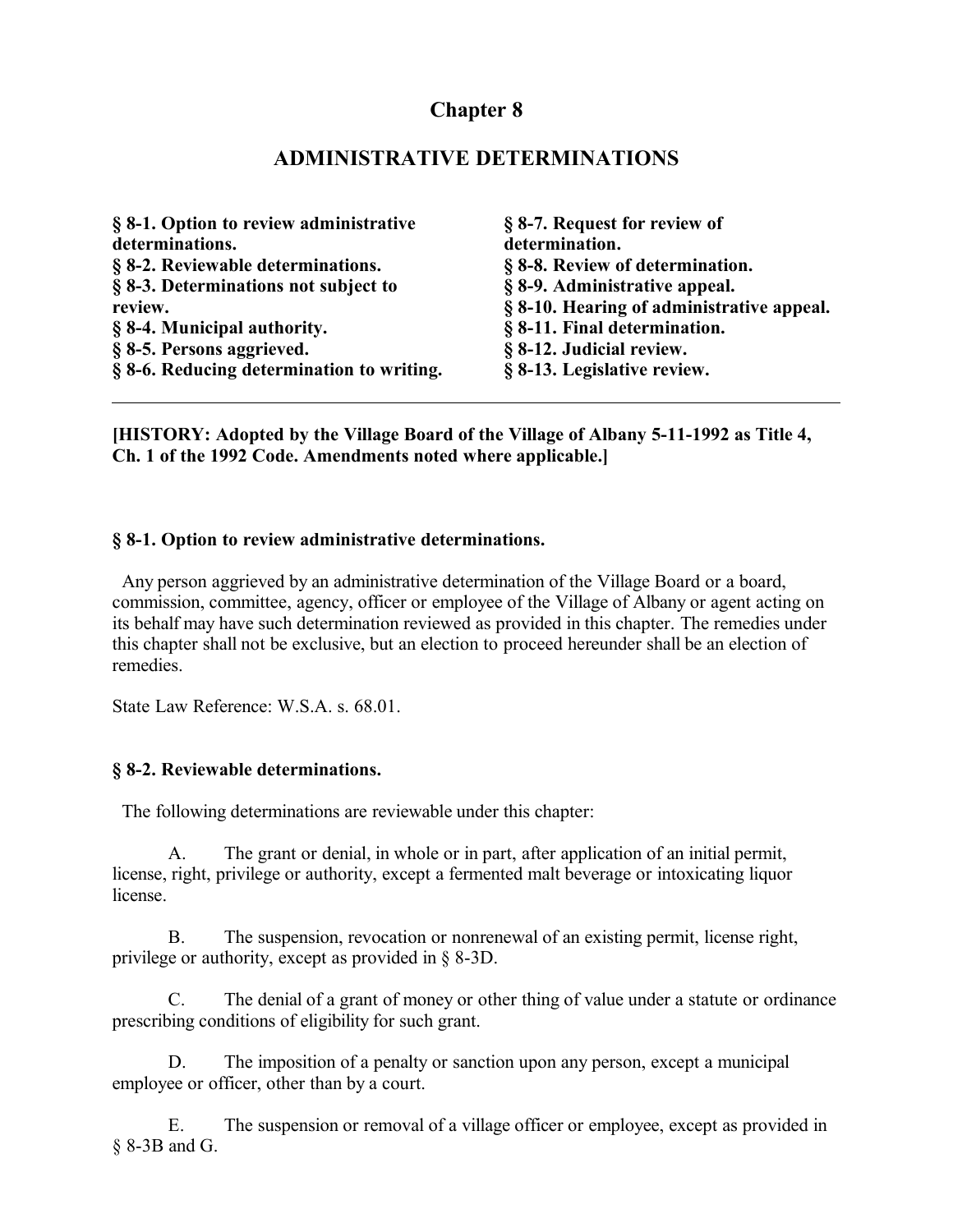# **Chapter 8**

## **ADMINISTRATIVE DETERMINATIONS**

| § 8-1. Option to review administrative    | § 8-7. Request for review of              |
|-------------------------------------------|-------------------------------------------|
| determinations.                           | determination.                            |
| § 8-2. Reviewable determinations.         | § 8-8. Review of determination.           |
| § 8-3. Determinations not subject to      | § 8-9. Administrative appeal.             |
| review.                                   | § 8-10. Hearing of administrative appeal. |
| § 8-4. Municipal authority.               | § 8-11. Final determination.              |
| § 8-5. Persons aggrieved.                 | § 8-12. Judicial review.                  |
| § 8-6. Reducing determination to writing. | § 8-13. Legislative review.               |

**[HISTORY: Adopted by the Village Board of the Village of Albany 5-11-1992 as Title 4, Ch. 1 of the 1992 Code. Amendments noted where applicable.]**

#### **§ 8-1. Option to review administrative determinations.**

 Any person aggrieved by an administrative determination of the Village Board or a board, commission, committee, agency, officer or employee of the Village of Albany or agent acting on its behalf may have such determination reviewed as provided in this chapter. The remedies under this chapter shall not be exclusive, but an election to proceed hereunder shall be an election of remedies.

State Law Reference: W.S.A. s. 68.01.

#### **§ 8-2. Reviewable determinations.**

The following determinations are reviewable under this chapter:

A. The grant or denial, in whole or in part, after application of an initial permit, license, right, privilege or authority, except a fermented malt beverage or intoxicating liquor license.

B. The suspension, revocation or nonrenewal of an existing permit, license right, privilege or authority, except as provided in § 8-3D.

C. The denial of a grant of money or other thing of value under a statute or ordinance prescribing conditions of eligibility for such grant.

D. The imposition of a penalty or sanction upon any person, except a municipal employee or officer, other than by a court.

E. The suspension or removal of a village officer or employee, except as provided in § 8-3B and G.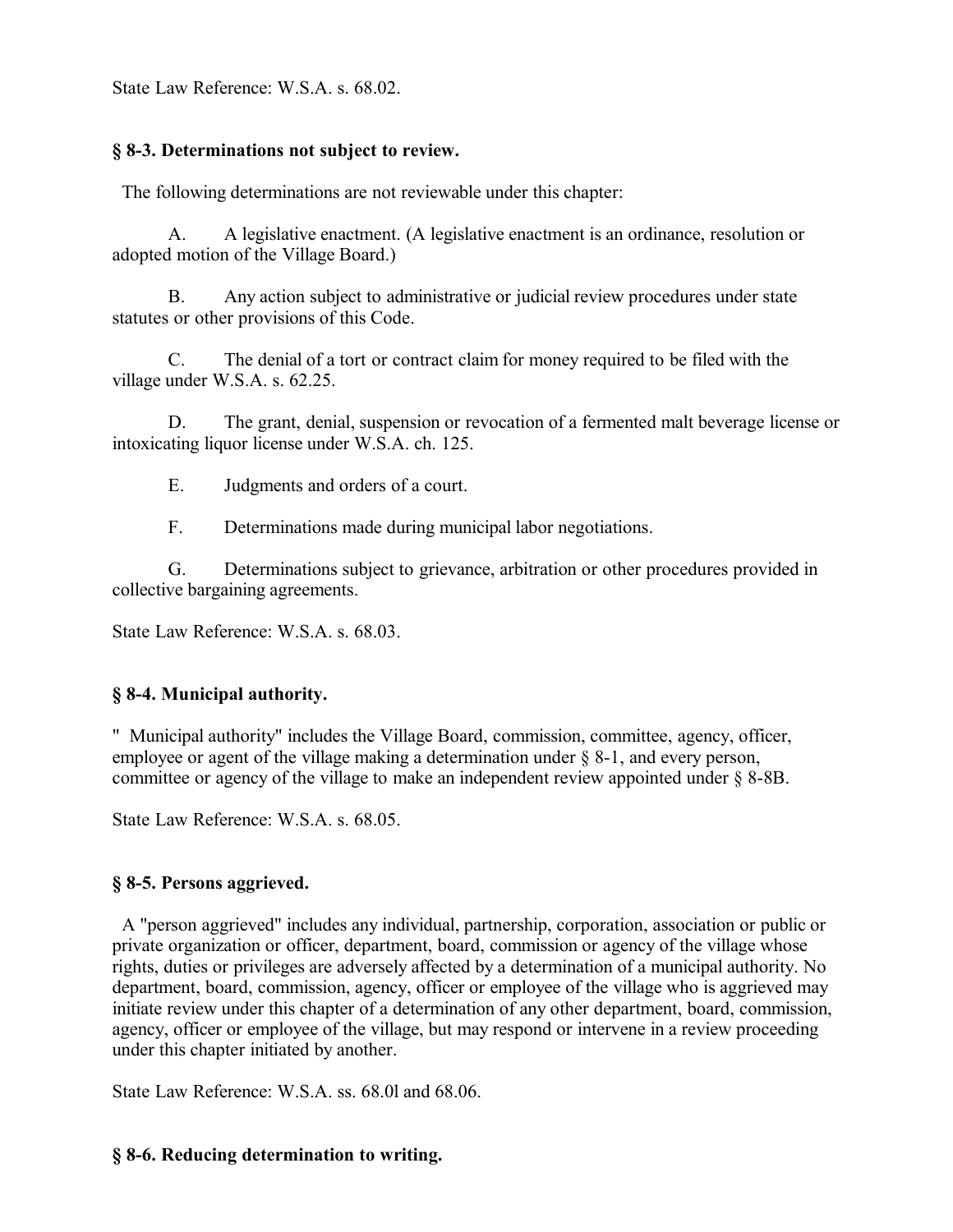State Law Reference: W.S.A. s. 68.02.

## **§ 8-3. Determinations not subject to review.**

The following determinations are not reviewable under this chapter:

A. A legislative enactment. (A legislative enactment is an ordinance, resolution or adopted motion of the Village Board.)

B. Any action subject to administrative or judicial review procedures under state statutes or other provisions of this Code.

C. The denial of a tort or contract claim for money required to be filed with the village under W.S.A. s. 62.25.

D. The grant, denial, suspension or revocation of a fermented malt beverage license or intoxicating liquor license under W.S.A. ch. 125.

E. Judgments and orders of a court.

F. Determinations made during municipal labor negotiations.

G. Determinations subject to grievance, arbitration or other procedures provided in collective bargaining agreements.

State Law Reference: W.S.A. s. 68.03.

## **§ 8-4. Municipal authority.**

" Municipal authority" includes the Village Board, commission, committee, agency, officer, employee or agent of the village making a determination under  $\S$  8-1, and every person, committee or agency of the village to make an independent review appointed under § 8-8B.

State Law Reference: W.S.A. s. 68.05.

## **§ 8-5. Persons aggrieved.**

 A "person aggrieved" includes any individual, partnership, corporation, association or public or private organization or officer, department, board, commission or agency of the village whose rights, duties or privileges are adversely affected by a determination of a municipal authority. No department, board, commission, agency, officer or employee of the village who is aggrieved may initiate review under this chapter of a determination of any other department, board, commission, agency, officer or employee of the village, but may respond or intervene in a review proceeding under this chapter initiated by another.

State Law Reference: W.S.A. ss. 68.0l and 68.06.

## **§ 8-6. Reducing determination to writing.**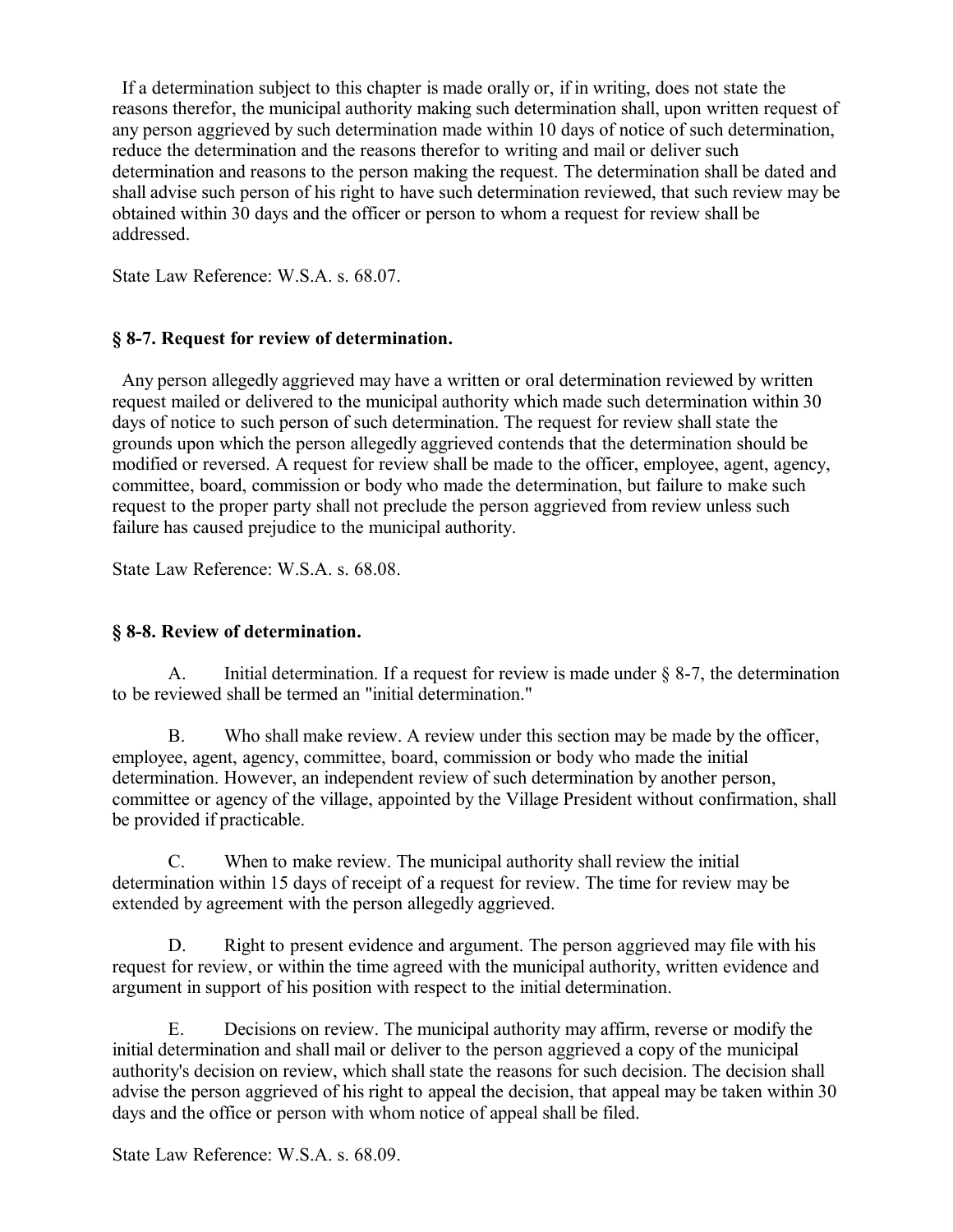If a determination subject to this chapter is made orally or, if in writing, does not state the reasons therefor, the municipal authority making such determination shall, upon written request of any person aggrieved by such determination made within 10 days of notice of such determination, reduce the determination and the reasons therefor to writing and mail or deliver such determination and reasons to the person making the request. The determination shall be dated and shall advise such person of his right to have such determination reviewed, that such review may be obtained within 30 days and the officer or person to whom a request for review shall be addressed.

State Law Reference: W.S.A. s. 68.07.

#### **§ 8-7. Request for review of determination.**

 Any person allegedly aggrieved may have a written or oral determination reviewed by written request mailed or delivered to the municipal authority which made such determination within 30 days of notice to such person of such determination. The request for review shall state the grounds upon which the person allegedly aggrieved contends that the determination should be modified or reversed. A request for review shall be made to the officer, employee, agent, agency, committee, board, commission or body who made the determination, but failure to make such request to the proper party shall not preclude the person aggrieved from review unless such failure has caused prejudice to the municipal authority.

State Law Reference: W.S.A. s. 68.08.

## **§ 8-8. Review of determination.**

A. Initial determination. If a request for review is made under § 8-7, the determination to be reviewed shall be termed an "initial determination."

B. Who shall make review. A review under this section may be made by the officer, employee, agent, agency, committee, board, commission or body who made the initial determination. However, an independent review of such determination by another person, committee or agency of the village, appointed by the Village President without confirmation, shall be provided if practicable.

C. When to make review. The municipal authority shall review the initial determination within 15 days of receipt of a request for review. The time for review may be extended by agreement with the person allegedly aggrieved.

D. Right to present evidence and argument. The person aggrieved may file with his request for review, or within the time agreed with the municipal authority, written evidence and argument in support of his position with respect to the initial determination.

E. Decisions on review. The municipal authority may affirm, reverse or modify the initial determination and shall mail or deliver to the person aggrieved a copy of the municipal authority's decision on review, which shall state the reasons for such decision. The decision shall advise the person aggrieved of his right to appeal the decision, that appeal may be taken within 30 days and the office or person with whom notice of appeal shall be filed.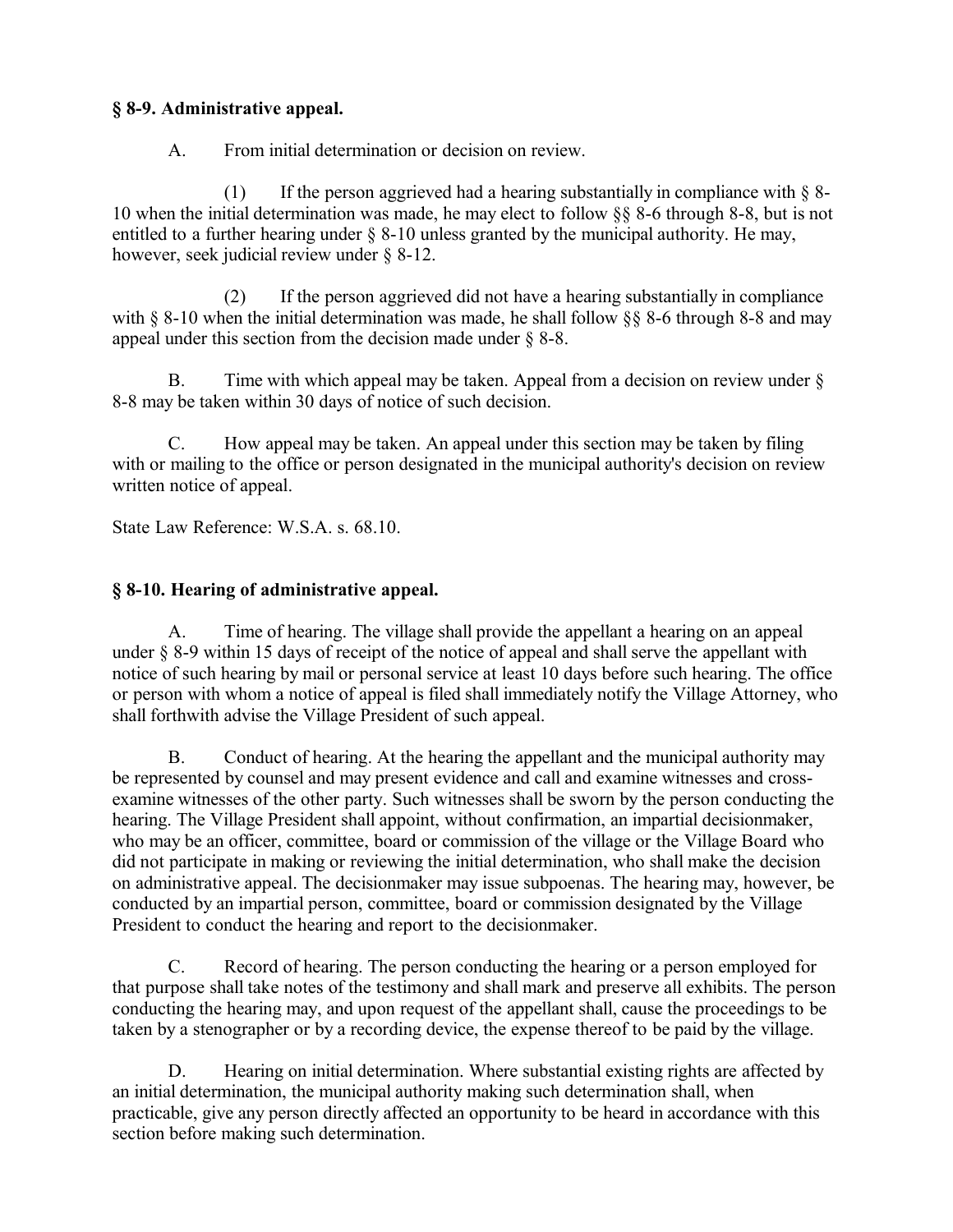## **§ 8-9. Administrative appeal.**

A. From initial determination or decision on review.

(1) If the person aggrieved had a hearing substantially in compliance with  $\S$  8-10 when the initial determination was made, he may elect to follow §§ 8-6 through 8-8, but is not entitled to a further hearing under § 8-10 unless granted by the municipal authority. He may, however, seek judicial review under § 8-12.

(2) If the person aggrieved did not have a hearing substantially in compliance with § 8-10 when the initial determination was made, he shall follow § § 8-6 through 8-8 and may appeal under this section from the decision made under § 8-8.

B. Time with which appeal may be taken. Appeal from a decision on review under § 8-8 may be taken within 30 days of notice of such decision.

C. How appeal may be taken. An appeal under this section may be taken by filing with or mailing to the office or person designated in the municipal authority's decision on review written notice of appeal.

State Law Reference: W.S.A. s. 68.10.

## **§ 8-10. Hearing of administrative appeal.**

A. Time of hearing. The village shall provide the appellant a hearing on an appeal under § 8-9 within 15 days of receipt of the notice of appeal and shall serve the appellant with notice of such hearing by mail or personal service at least 10 days before such hearing. The office or person with whom a notice of appeal is filed shall immediately notify the Village Attorney, who shall forthwith advise the Village President of such appeal.

B. Conduct of hearing. At the hearing the appellant and the municipal authority may be represented by counsel and may present evidence and call and examine witnesses and crossexamine witnesses of the other party. Such witnesses shall be sworn by the person conducting the hearing. The Village President shall appoint, without confirmation, an impartial decisionmaker, who may be an officer, committee, board or commission of the village or the Village Board who did not participate in making or reviewing the initial determination, who shall make the decision on administrative appeal. The decisionmaker may issue subpoenas. The hearing may, however, be conducted by an impartial person, committee, board or commission designated by the Village President to conduct the hearing and report to the decisionmaker.

C. Record of hearing. The person conducting the hearing or a person employed for that purpose shall take notes of the testimony and shall mark and preserve all exhibits. The person conducting the hearing may, and upon request of the appellant shall, cause the proceedings to be taken by a stenographer or by a recording device, the expense thereof to be paid by the village.

D. Hearing on initial determination. Where substantial existing rights are affected by an initial determination, the municipal authority making such determination shall, when practicable, give any person directly affected an opportunity to be heard in accordance with this section before making such determination.